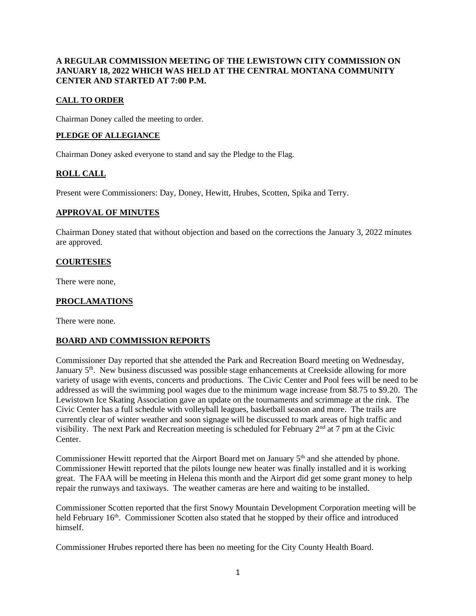#### **A REGULAR COMMISSION MEETING OF THE LEWISTOWN CITY COMMISSION ON JANUARY 18, 2022 WHICH WAS HELD AT THE CENTRAL MONTANA COMMUNITY CENTER AND STARTED AT 7:00 P.M.**

## **CALL TO ORDER**

Chairman Doney called the meeting to order.

#### **PLEDGE OF ALLEGIANCE**

Chairman Doney asked everyone to stand and say the Pledge to the Flag.

# **ROLL CALL**

Present were Commissioners: Day, Doney, Hewitt, Hrubes, Scotten, Spika and Terry.

#### **APPROVAL OF MINUTES**

Chairman Doney stated that without objection and based on the corrections the January 3, 2022 minutes are approved.

#### **COURTESIES**

There were none,

# **PROCLAMATIONS**

There were none.

#### **BOARD AND COMMISSION REPORTS**

Commissioner Day reported that she attended the Park and Recreation Board meeting on Wednesday, January 5<sup>th</sup>. New business discussed was possible stage enhancements at Creekside allowing for more variety of usage with events, concerts and productions. The Civic Center and Pool fees will be need to be addressed as will the swimming pool wages due to the minimum wage increase from \$8.75 to \$9.20. The Lewistown Ice Skating Association gave an update on the tournaments and scrimmage at the rink. The Civic Center has a full schedule with volleyball leagues, basketball season and more. The trails are currently clear of winter weather and soon signage will be discussed to mark areas of high traffic and visibility. The next Park and Recreation meeting is scheduled for February  $2<sup>nd</sup>$  at 7 pm at the Civic Center.

Commissioner Hewitt reported that the Airport Board met on January 5<sup>th</sup> and she attended by phone. Commissioner Hewitt reported that the pilots lounge new heater was finally installed and it is working great. The FAA will be meeting in Helena this month and the Airport did get some grant money to help repair the runways and taxiways. The weather cameras are here and waiting to be installed.

Commissioner Scotten reported that the first Snowy Mountain Development Corporation meeting will be held February 16<sup>th</sup>. Commissioner Scotten also stated that he stopped by their office and introduced himself.

Commissioner Hrubes reported there has been no meeting for the City County Health Board.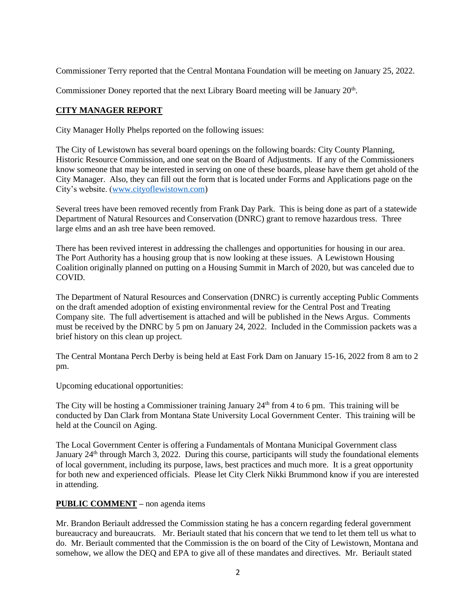Commissioner Terry reported that the Central Montana Foundation will be meeting on January 25, 2022.

Commissioner Doney reported that the next Library Board meeting will be January 20<sup>th</sup>.

## **CITY MANAGER REPORT**

City Manager Holly Phelps reported on the following issues:

The City of Lewistown has several board openings on the following boards: City County Planning, Historic Resource Commission, and one seat on the Board of Adjustments. If any of the Commissioners know someone that may be interested in serving on one of these boards, please have them get ahold of the City Manager. Also, they can fill out the form that is located under Forms and Applications page on the City's website. [\(www.cityoflewistown.com\)](http://www.cityoflewistown.com/)

Several trees have been removed recently from Frank Day Park. This is being done as part of a statewide Department of Natural Resources and Conservation (DNRC) grant to remove hazardous tress. Three large elms and an ash tree have been removed.

There has been revived interest in addressing the challenges and opportunities for housing in our area. The Port Authority has a housing group that is now looking at these issues. A Lewistown Housing Coalition originally planned on putting on a Housing Summit in March of 2020, but was canceled due to COVID.

The Department of Natural Resources and Conservation (DNRC) is currently accepting Public Comments on the draft amended adoption of existing environmental review for the Central Post and Treating Company site. The full advertisement is attached and will be published in the News Argus. Comments must be received by the DNRC by 5 pm on January 24, 2022. Included in the Commission packets was a brief history on this clean up project.

The Central Montana Perch Derby is being held at East Fork Dam on January 15-16, 2022 from 8 am to 2 pm.

Upcoming educational opportunities:

The City will be hosting a Commissioner training January  $24<sup>th</sup>$  from 4 to 6 pm. This training will be conducted by Dan Clark from Montana State University Local Government Center. This training will be held at the Council on Aging.

The Local Government Center is offering a Fundamentals of Montana Municipal Government class January  $24<sup>th</sup>$  through March 3, 2022. During this course, participants will study the foundational elements of local government, including its purpose, laws, best practices and much more. It is a great opportunity for both new and experienced officials. Please let City Clerk Nikki Brummond know if you are interested in attending.

# **PUBLIC COMMENT –** non agenda items

Mr. Brandon Beriault addressed the Commission stating he has a concern regarding federal government bureaucracy and bureaucrats. Mr. Beriault stated that his concern that we tend to let them tell us what to do. Mr. Beriault commented that the Commission is the on board of the City of Lewistown, Montana and somehow, we allow the DEQ and EPA to give all of these mandates and directives. Mr. Beriault stated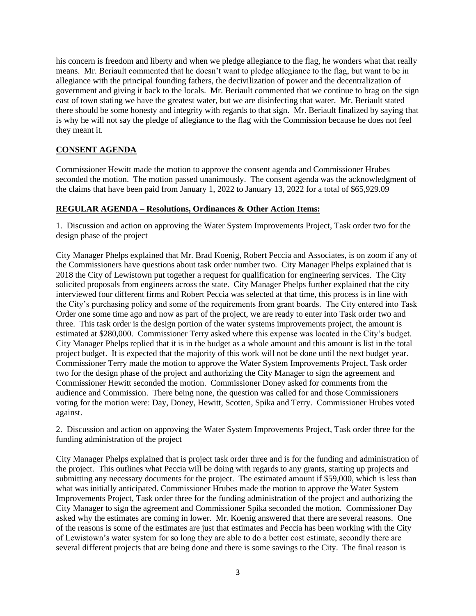his concern is freedom and liberty and when we pledge allegiance to the flag, he wonders what that really means. Mr. Beriault commented that he doesn't want to pledge allegiance to the flag, but want to be in allegiance with the principal founding fathers, the decivilization of power and the decentralization of government and giving it back to the locals. Mr. Beriault commented that we continue to brag on the sign east of town stating we have the greatest water, but we are disinfecting that water. Mr. Beriault stated there should be some honesty and integrity with regards to that sign. Mr. Beriault finalized by saying that is why he will not say the pledge of allegiance to the flag with the Commission because he does not feel they meant it.

## **CONSENT AGENDA**

Commissioner Hewitt made the motion to approve the consent agenda and Commissioner Hrubes seconded the motion. The motion passed unanimously. The consent agenda was the acknowledgment of the claims that have been paid from January 1, 2022 to January 13, 2022 for a total of \$65,929.09

#### **REGULAR AGENDA – Resolutions, Ordinances & Other Action Items:**

1. Discussion and action on approving the Water System Improvements Project, Task order two for the design phase of the project

City Manager Phelps explained that Mr. Brad Koenig, Robert Peccia and Associates, is on zoom if any of the Commissioners have questions about task order number two. City Manager Phelps explained that is 2018 the City of Lewistown put together a request for qualification for engineering services. The City solicited proposals from engineers across the state. City Manager Phelps further explained that the city interviewed four different firms and Robert Peccia was selected at that time, this process is in line with the City's purchasing policy and some of the requirements from grant boards. The City entered into Task Order one some time ago and now as part of the project, we are ready to enter into Task order two and three. This task order is the design portion of the water systems improvements project, the amount is estimated at \$280,000. Commissioner Terry asked where this expense was located in the City's budget. City Manager Phelps replied that it is in the budget as a whole amount and this amount is list in the total project budget. It is expected that the majority of this work will not be done until the next budget year. Commissioner Terry made the motion to approve the Water System Improvements Project, Task order two for the design phase of the project and authorizing the City Manager to sign the agreement and Commissioner Hewitt seconded the motion. Commissioner Doney asked for comments from the audience and Commission. There being none, the question was called for and those Commissioners voting for the motion were: Day, Doney, Hewitt, Scotten, Spika and Terry. Commissioner Hrubes voted against.

2. Discussion and action on approving the Water System Improvements Project, Task order three for the funding administration of the project

City Manager Phelps explained that is project task order three and is for the funding and administration of the project. This outlines what Peccia will be doing with regards to any grants, starting up projects and submitting any necessary documents for the project. The estimated amount if \$59,000, which is less than what was initially anticipated. Commissioner Hrubes made the motion to approve the Water System Improvements Project, Task order three for the funding administration of the project and authorizing the City Manager to sign the agreement and Commissioner Spika seconded the motion. Commissioner Day asked why the estimates are coming in lower. Mr. Koenig answered that there are several reasons. One of the reasons is some of the estimates are just that estimates and Peccia has been working with the City of Lewistown's water system for so long they are able to do a better cost estimate, secondly there are several different projects that are being done and there is some savings to the City. The final reason is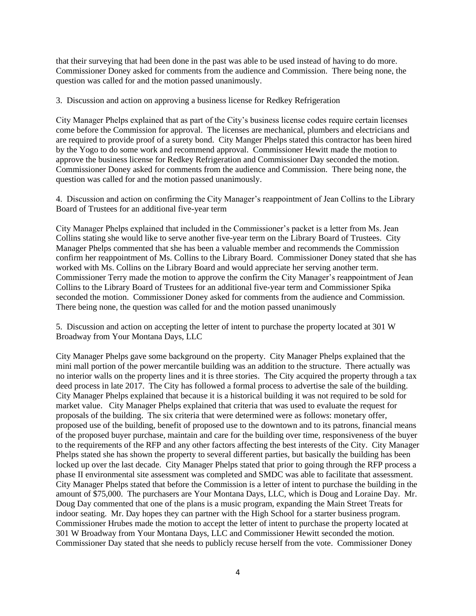that their surveying that had been done in the past was able to be used instead of having to do more. Commissioner Doney asked for comments from the audience and Commission. There being none, the question was called for and the motion passed unanimously.

3. Discussion and action on approving a business license for Redkey Refrigeration

City Manager Phelps explained that as part of the City's business license codes require certain licenses come before the Commission for approval. The licenses are mechanical, plumbers and electricians and are required to provide proof of a surety bond. City Manger Phelps stated this contractor has been hired by the Yogo to do some work and recommend approval. Commissioner Hewitt made the motion to approve the business license for Redkey Refrigeration and Commissioner Day seconded the motion. Commissioner Doney asked for comments from the audience and Commission. There being none, the question was called for and the motion passed unanimously.

4. Discussion and action on confirming the City Manager's reappointment of Jean Collins to the Library Board of Trustees for an additional five-year term

City Manager Phelps explained that included in the Commissioner's packet is a letter from Ms. Jean Collins stating she would like to serve another five-year term on the Library Board of Trustees. City Manager Phelps commented that she has been a valuable member and recommends the Commission confirm her reappointment of Ms. Collins to the Library Board. Commissioner Doney stated that she has worked with Ms. Collins on the Library Board and would appreciate her serving another term. Commissioner Terry made the motion to approve the confirm the City Manager's reappointment of Jean Collins to the Library Board of Trustees for an additional five-year term and Commissioner Spika seconded the motion. Commissioner Doney asked for comments from the audience and Commission. There being none, the question was called for and the motion passed unanimously

5. Discussion and action on accepting the letter of intent to purchase the property located at 301 W Broadway from Your Montana Days, LLC

City Manager Phelps gave some background on the property. City Manager Phelps explained that the mini mall portion of the power mercantile building was an addition to the structure. There actually was no interior walls on the property lines and it is three stories. The City acquired the property through a tax deed process in late 2017. The City has followed a formal process to advertise the sale of the building. City Manager Phelps explained that because it is a historical building it was not required to be sold for market value. City Manager Phelps explained that criteria that was used to evaluate the request for proposals of the building. The six criteria that were determined were as follows: monetary offer, proposed use of the building, benefit of proposed use to the downtown and to its patrons, financial means of the proposed buyer purchase, maintain and care for the building over time, responsiveness of the buyer to the requirements of the RFP and any other factors affecting the best interests of the City. City Manager Phelps stated she has shown the property to several different parties, but basically the building has been locked up over the last decade. City Manager Phelps stated that prior to going through the RFP process a phase II environmental site assessment was completed and SMDC was able to facilitate that assessment. City Manager Phelps stated that before the Commission is a letter of intent to purchase the building in the amount of \$75,000. The purchasers are Your Montana Days, LLC, which is Doug and Loraine Day. Mr. Doug Day commented that one of the plans is a music program, expanding the Main Street Treats for indoor seating. Mr. Day hopes they can partner with the High School for a starter business program. Commissioner Hrubes made the motion to accept the letter of intent to purchase the property located at 301 W Broadway from Your Montana Days, LLC and Commissioner Hewitt seconded the motion. Commissioner Day stated that she needs to publicly recuse herself from the vote. Commissioner Doney